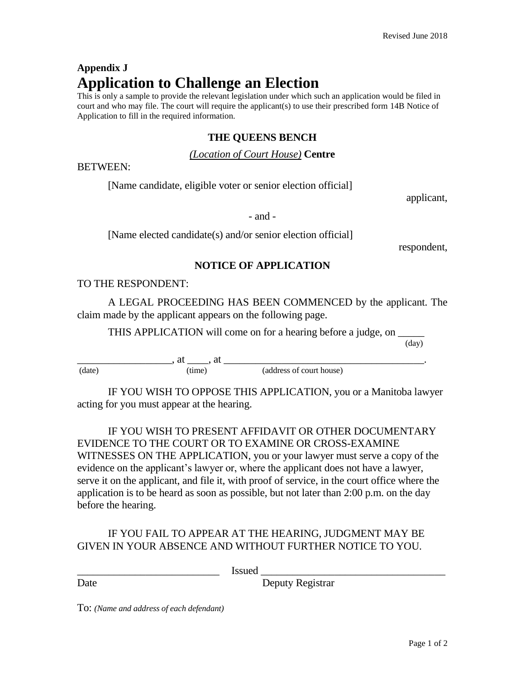# **Appendix J Application to Challenge an Election**

This is only a sample to provide the relevant legislation under which such an application would be filed in court and who may file. The court will require the applicant(s) to use their prescribed form 14B Notice of Application to fill in the required information.

## **THE QUEENS BENCH**

#### *(Location of Court House)* **Centre**

BETWEEN:

[Name candidate, eligible voter or senior election official]

applicant,

- and -

[Name elected candidate(s) and/or senior election official]

respondent,

## **NOTICE OF APPLICATION**

#### TO THE RESPONDENT:

A LEGAL PROCEEDING HAS BEEN COMMENCED by the applicant. The claim made by the applicant appears on the following page.

THIS APPLICATION will come on for a hearing before a judge, on

(day)

 $\longrightarrow$  at  $\longrightarrow$ , at  $\longrightarrow$ , at  $\longrightarrow$  at  $\longrightarrow$ (date) (time) (address of court house)

IF YOU WISH TO OPPOSE THIS APPLICATION, you or a Manitoba lawyer acting for you must appear at the hearing.

IF YOU WISH TO PRESENT AFFIDAVIT OR OTHER DOCUMENTARY EVIDENCE TO THE COURT OR TO EXAMINE OR CROSS-EXAMINE WITNESSES ON THE APPLICATION, you or your lawyer must serve a copy of the evidence on the applicant's lawyer or, where the applicant does not have a lawyer, serve it on the applicant, and file it, with proof of service, in the court office where the application is to be heard as soon as possible, but not later than 2:00 p.m. on the day before the hearing.

## IF YOU FAIL TO APPEAR AT THE HEARING, JUDGMENT MAY BE GIVEN IN YOUR ABSENCE AND WITHOUT FURTHER NOTICE TO YOU.

\_\_\_\_\_\_\_\_\_\_\_\_\_\_\_\_\_\_\_\_\_\_\_\_\_\_\_ Issued \_\_\_\_\_\_\_\_\_\_\_\_\_\_\_\_\_\_\_\_\_\_\_\_\_\_\_\_\_\_\_\_\_\_\_

Date Deputy Registrar

To: *(Name and address of each defendant)*